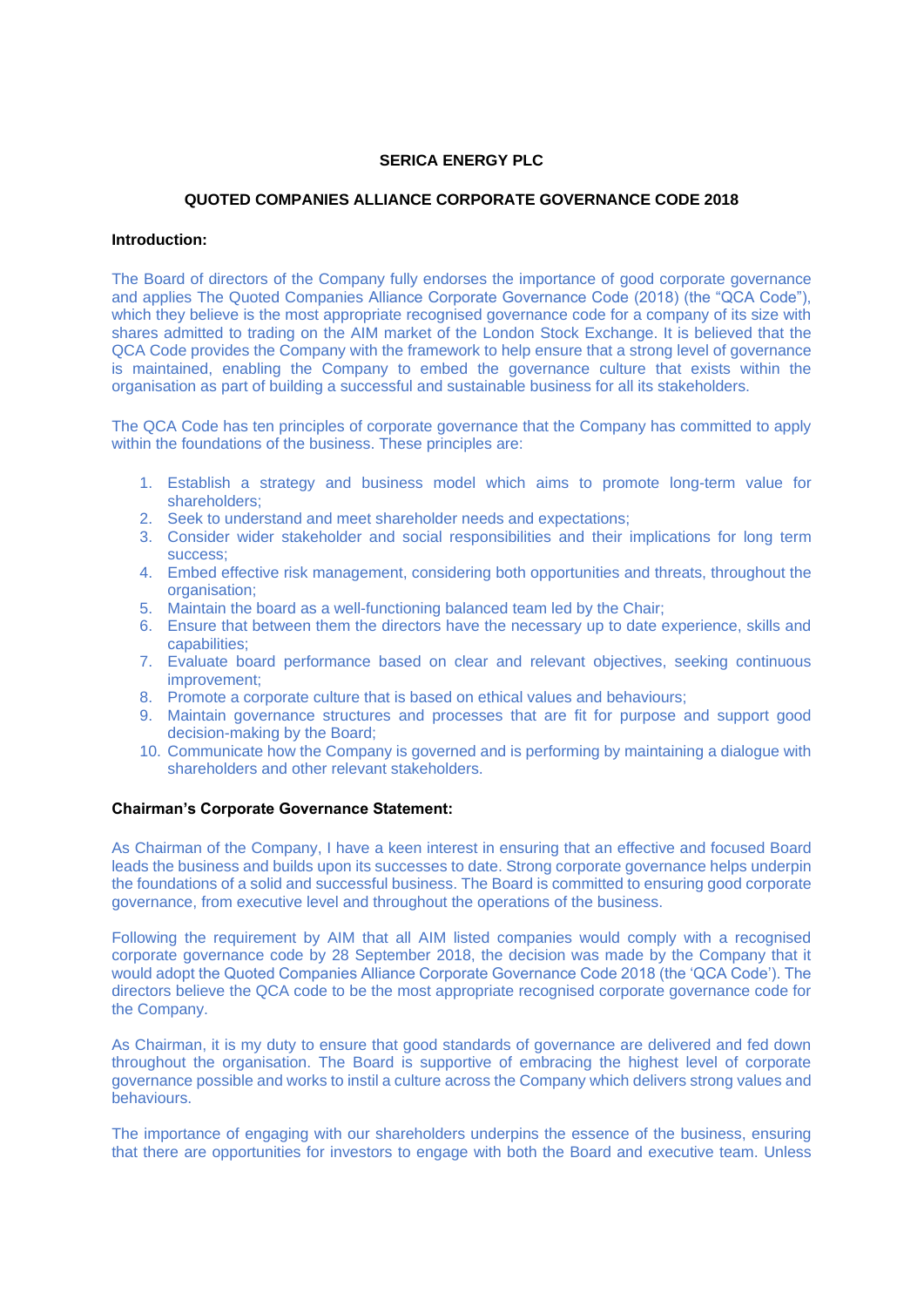# **SERICA ENERGY PLC**

# **QUOTED COMPANIES ALLIANCE CORPORATE GOVERNANCE CODE 2018**

### **Introduction:**

The Board of directors of the Company fully endorses the importance of good corporate governance and applies The Quoted Companies Alliance Corporate Governance Code (2018) (the "QCA Code"), which they believe is the most appropriate recognised governance code for a company of its size with shares admitted to trading on the AIM market of the London Stock Exchange. It is believed that the QCA Code provides the Company with the framework to help ensure that a strong level of governance is maintained, enabling the Company to embed the governance culture that exists within the organisation as part of building a successful and sustainable business for all its stakeholders.

The QCA Code has ten principles of corporate governance that the Company has committed to apply within the foundations of the business. These principles are:

- 1. Establish a strategy and business model which aims to promote long-term value for shareholders;
- 2. Seek to understand and meet shareholder needs and expectations;
- 3. Consider wider stakeholder and social responsibilities and their implications for long term success;
- 4. Embed effective risk management, considering both opportunities and threats, throughout the organisation:
- 5. Maintain the board as a well-functioning balanced team led by the Chair;
- 6. Ensure that between them the directors have the necessary up to date experience, skills and capabilities;
- 7. Evaluate board performance based on clear and relevant objectives, seeking continuous improvement;
- 8. Promote a corporate culture that is based on ethical values and behaviours;
- 9. Maintain governance structures and processes that are fit for purpose and support good decision-making by the Board;
- 10. Communicate how the Company is governed and is performing by maintaining a dialogue with shareholders and other relevant stakeholders.

# **Chairman's Corporate Governance Statement:**

As Chairman of the Company, I have a keen interest in ensuring that an effective and focused Board leads the business and builds upon its successes to date. Strong corporate governance helps underpin the foundations of a solid and successful business. The Board is committed to ensuring good corporate governance, from executive level and throughout the operations of the business.

Following the requirement by AIM that all AIM listed companies would comply with a recognised corporate governance code by 28 September 2018, the decision was made by the Company that it would adopt the Quoted Companies Alliance Corporate Governance Code 2018 (the 'QCA Code'). The directors believe the QCA code to be the most appropriate recognised corporate governance code for the Company.

As Chairman, it is my duty to ensure that good standards of governance are delivered and fed down throughout the organisation. The Board is supportive of embracing the highest level of corporate governance possible and works to instil a culture across the Company which delivers strong values and behaviours.

The importance of engaging with our shareholders underpins the essence of the business, ensuring that there are opportunities for investors to engage with both the Board and executive team. Unless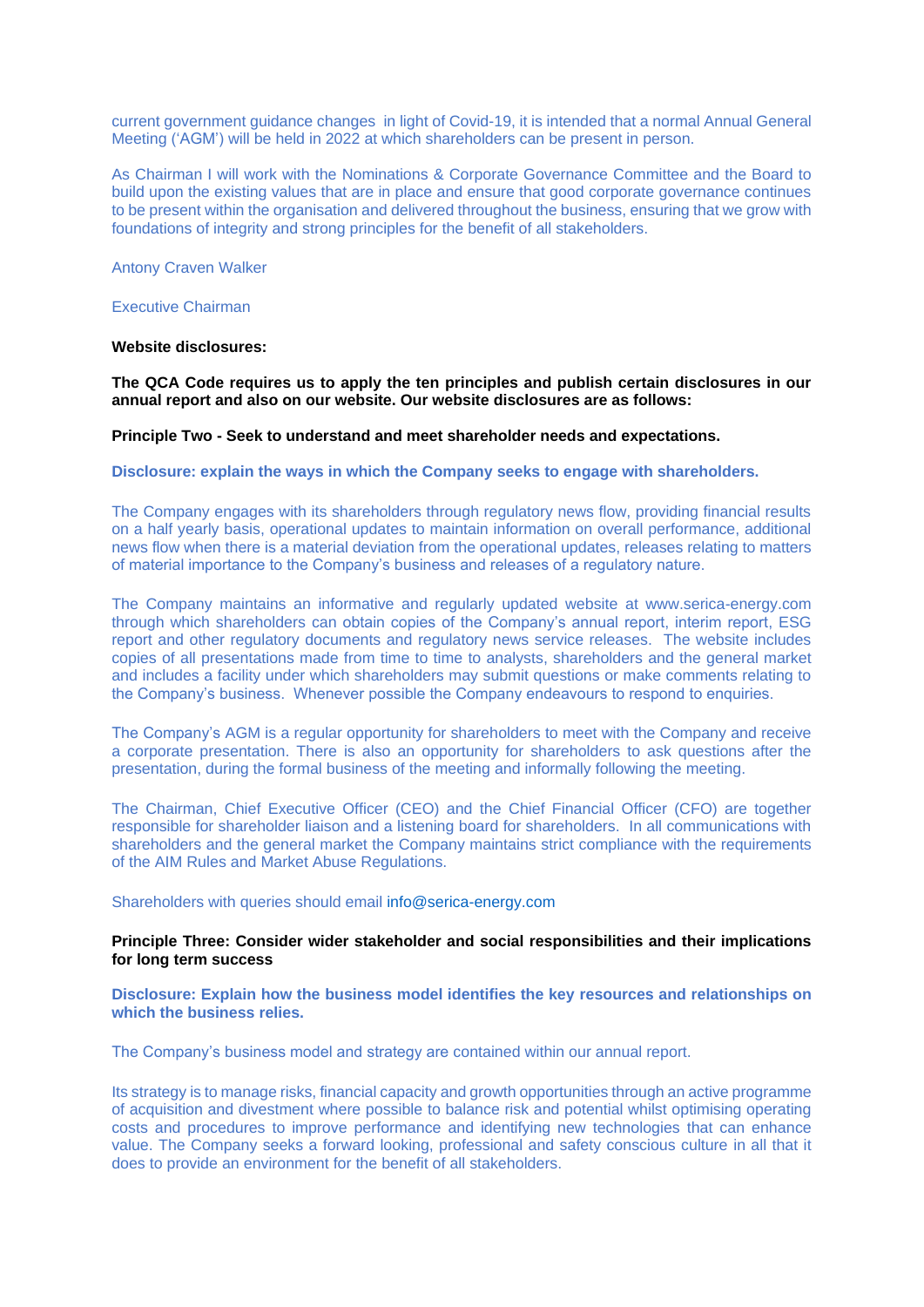current government guidance changes in light of Covid-19, it is intended that a normal Annual General Meeting ('AGM') will be held in 2022 at which shareholders can be present in person.

As Chairman I will work with the Nominations & Corporate Governance Committee and the Board to build upon the existing values that are in place and ensure that good corporate governance continues to be present within the organisation and delivered throughout the business, ensuring that we grow with foundations of integrity and strong principles for the benefit of all stakeholders.

Antony Craven Walker

Executive Chairman

# **Website disclosures:**

**The QCA Code requires us to apply the ten principles and publish certain disclosures in our annual report and also on our website. Our website disclosures are as follows:**

#### **Principle Two - Seek to understand and meet shareholder needs and expectations.**

**Disclosure: explain the ways in which the Company seeks to engage with shareholders.**

The Company engages with its shareholders through regulatory news flow, providing financial results on a half yearly basis, operational updates to maintain information on overall performance, additional news flow when there is a material deviation from the operational updates, releases relating to matters of material importance to the Company's business and releases of a regulatory nature.

The Company maintains an informative and regularly updated website at www.serica-energy.com through which shareholders can obtain copies of the Company's annual report, interim report, ESG report and other regulatory documents and regulatory news service releases. The website includes copies of all presentations made from time to time to analysts, shareholders and the general market and includes a facility under which shareholders may submit questions or make comments relating to the Company's business. Whenever possible the Company endeavours to respond to enquiries.

The Company's AGM is a regular opportunity for shareholders to meet with the Company and receive a corporate presentation. There is also an opportunity for shareholders to ask questions after the presentation, during the formal business of the meeting and informally following the meeting.

The Chairman, Chief Executive Officer (CEO) and the Chief Financial Officer (CFO) are together responsible for shareholder liaison and a listening board for shareholders. In all communications with shareholders and the general market the Company maintains strict compliance with the requirements of the AIM Rules and Market Abuse Regulations.

Shareholders with queries should email [info@serica-energy.com](mailto:info@serica-energy.com)

# **Principle Three: Consider wider stakeholder and social responsibilities and their implications for long term success**

**Disclosure: Explain how the business model identifies the key resources and relationships on which the business relies.** 

The Company's business model and strategy are contained within our annual report.

Its strategy is to manage risks, financial capacity and growth opportunities through an active programme of acquisition and divestment where possible to balance risk and potential whilst optimising operating costs and procedures to improve performance and identifying new technologies that can enhance value. The Company seeks a forward looking, professional and safety conscious culture in all that it does to provide an environment for the benefit of all stakeholders.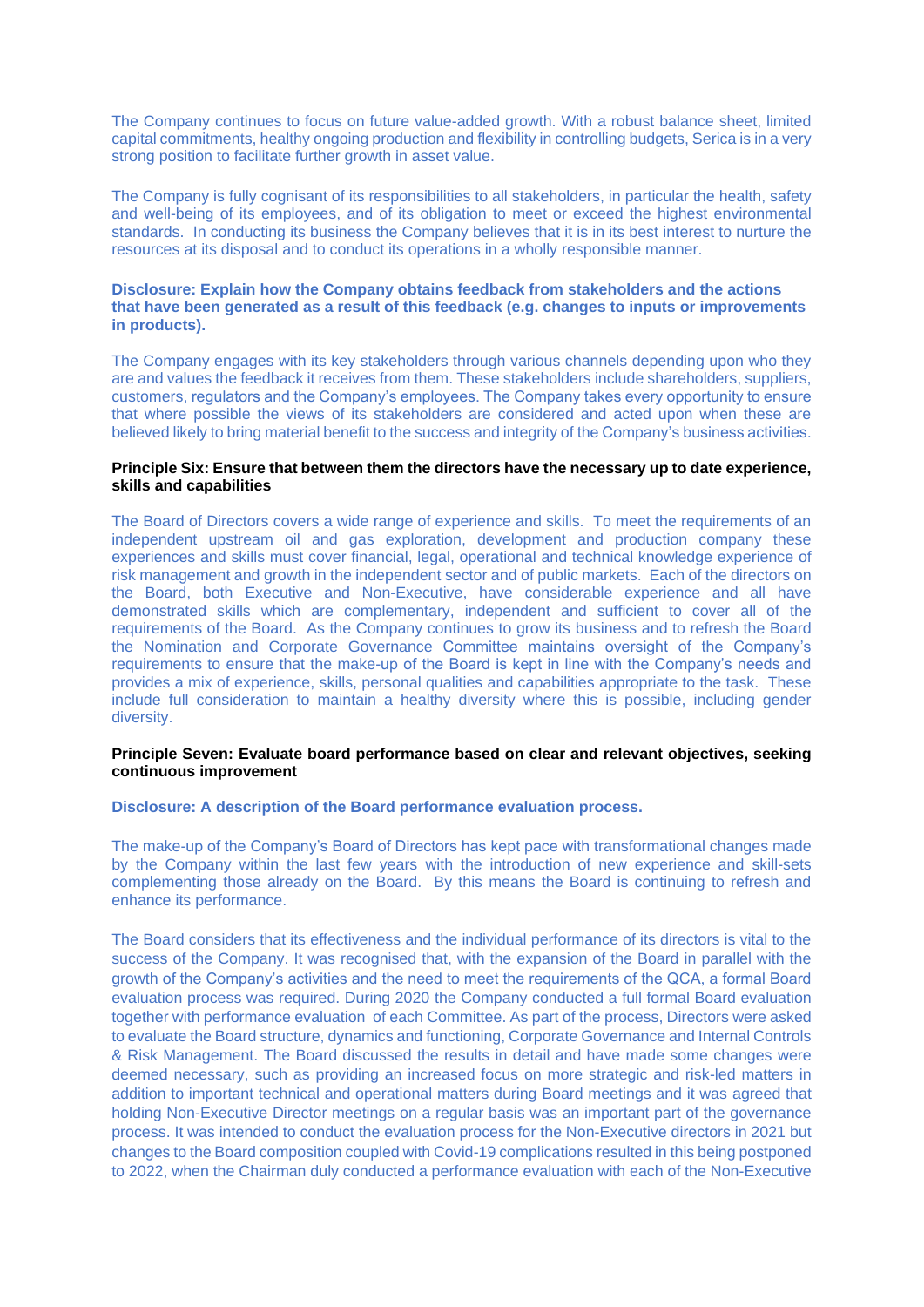The Company continues to focus on future value-added growth. With a robust balance sheet, limited capital commitments, healthy ongoing production and flexibility in controlling budgets, Serica is in a very strong position to facilitate further growth in asset value.

The Company is fully cognisant of its responsibilities to all stakeholders, in particular the health, safety and well-being of its employees, and of its obligation to meet or exceed the highest environmental standards. In conducting its business the Company believes that it is in its best interest to nurture the resources at its disposal and to conduct its operations in a wholly responsible manner.

# **Disclosure: Explain how the Company obtains feedback from stakeholders and the actions that have been generated as a result of this feedback (e.g. changes to inputs or improvements in products).**

The Company engages with its key stakeholders through various channels depending upon who they are and values the feedback it receives from them. These stakeholders include shareholders, suppliers, customers, regulators and the Company's employees. The Company takes every opportunity to ensure that where possible the views of its stakeholders are considered and acted upon when these are believed likely to bring material benefit to the success and integrity of the Company's business activities.

# **Principle Six: Ensure that between them the directors have the necessary up to date experience, skills and capabilities**

The Board of Directors covers a wide range of experience and skills. To meet the requirements of an independent upstream oil and gas exploration, development and production company these experiences and skills must cover financial, legal, operational and technical knowledge experience of risk management and growth in the independent sector and of public markets. Each of the directors on the Board, both Executive and Non-Executive, have considerable experience and all have demonstrated skills which are complementary, independent and sufficient to cover all of the requirements of the Board. As the Company continues to grow its business and to refresh the Board the Nomination and Corporate Governance Committee maintains oversight of the Company's requirements to ensure that the make-up of the Board is kept in line with the Company's needs and provides a mix of experience, skills, personal qualities and capabilities appropriate to the task. These include full consideration to maintain a healthy diversity where this is possible, including gender diversity.

#### **Principle Seven: Evaluate board performance based on clear and relevant objectives, seeking continuous improvement**

# **Disclosure: A description of the Board performance evaluation process.**

The make-up of the Company's Board of Directors has kept pace with transformational changes made by the Company within the last few years with the introduction of new experience and skill-sets complementing those already on the Board. By this means the Board is continuing to refresh and enhance its performance.

The Board considers that its effectiveness and the individual performance of its directors is vital to the success of the Company. It was recognised that, with the expansion of the Board in parallel with the growth of the Company's activities and the need to meet the requirements of the QCA, a formal Board evaluation process was required. During 2020 the Company conducted a full formal Board evaluation together with performance evaluation of each Committee. As part of the process, Directors were asked to evaluate the Board structure, dynamics and functioning, Corporate Governance and Internal Controls & Risk Management. The Board discussed the results in detail and have made some changes were deemed necessary, such as providing an increased focus on more strategic and risk-led matters in addition to important technical and operational matters during Board meetings and it was agreed that holding Non-Executive Director meetings on a regular basis was an important part of the governance process. It was intended to conduct the evaluation process for the Non-Executive directors in 2021 but changes to the Board composition coupled with Covid-19 complications resulted in this being postponed to 2022, when the Chairman duly conducted a performance evaluation with each of the Non-Executive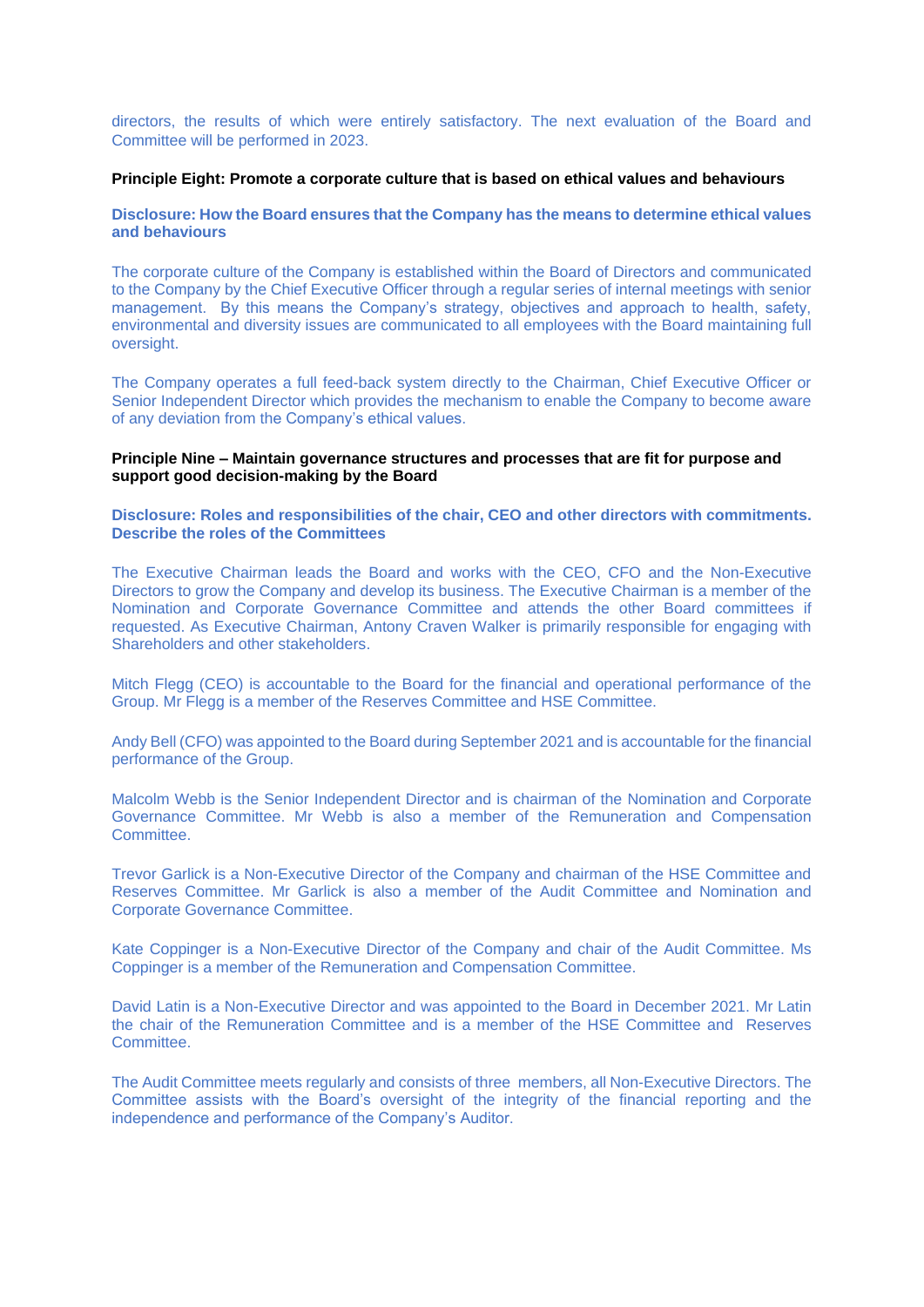directors, the results of which were entirely satisfactory. The next evaluation of the Board and Committee will be performed in 2023.

### **Principle Eight: Promote a corporate culture that is based on ethical values and behaviours**

**Disclosure: How the Board ensures that the Company has the means to determine ethical values and behaviours**

The corporate culture of the Company is established within the Board of Directors and communicated to the Company by the Chief Executive Officer through a regular series of internal meetings with senior management. By this means the Company's strategy, objectives and approach to health, safety, environmental and diversity issues are communicated to all employees with the Board maintaining full oversight.

The Company operates a full feed-back system directly to the Chairman, Chief Executive Officer or Senior Independent Director which provides the mechanism to enable the Company to become aware of any deviation from the Company's ethical values.

### **Principle Nine – Maintain governance structures and processes that are fit for purpose and support good decision-making by the Board**

**Disclosure: Roles and responsibilities of the chair, CEO and other directors with commitments. Describe the roles of the Committees** 

The Executive Chairman leads the Board and works with the CEO, CFO and the Non-Executive Directors to grow the Company and develop its business. The Executive Chairman is a member of the Nomination and Corporate Governance Committee and attends the other Board committees if requested. As Executive Chairman, Antony Craven Walker is primarily responsible for engaging with Shareholders and other stakeholders.

Mitch Flegg (CEO) is accountable to the Board for the financial and operational performance of the Group. Mr Flegg is a member of the Reserves Committee and HSE Committee.

Andy Bell (CFO) was appointed to the Board during September 2021 and is accountable for the financial performance of the Group.

Malcolm Webb is the Senior Independent Director and is chairman of the Nomination and Corporate Governance Committee. Mr Webb is also a member of the Remuneration and Compensation Committee.

Trevor Garlick is a Non-Executive Director of the Company and chairman of the HSE Committee and Reserves Committee. Mr Garlick is also a member of the Audit Committee and Nomination and Corporate Governance Committee.

Kate Coppinger is a Non-Executive Director of the Company and chair of the Audit Committee. Ms Coppinger is a member of the Remuneration and Compensation Committee.

David Latin is a Non-Executive Director and was appointed to the Board in December 2021. Mr Latin the chair of the Remuneration Committee and is a member of the HSE Committee and Reserves Committee.

The Audit Committee meets regularly and consists of three members, all Non-Executive Directors. The Committee assists with the Board's oversight of the integrity of the financial reporting and the independence and performance of the Company's Auditor.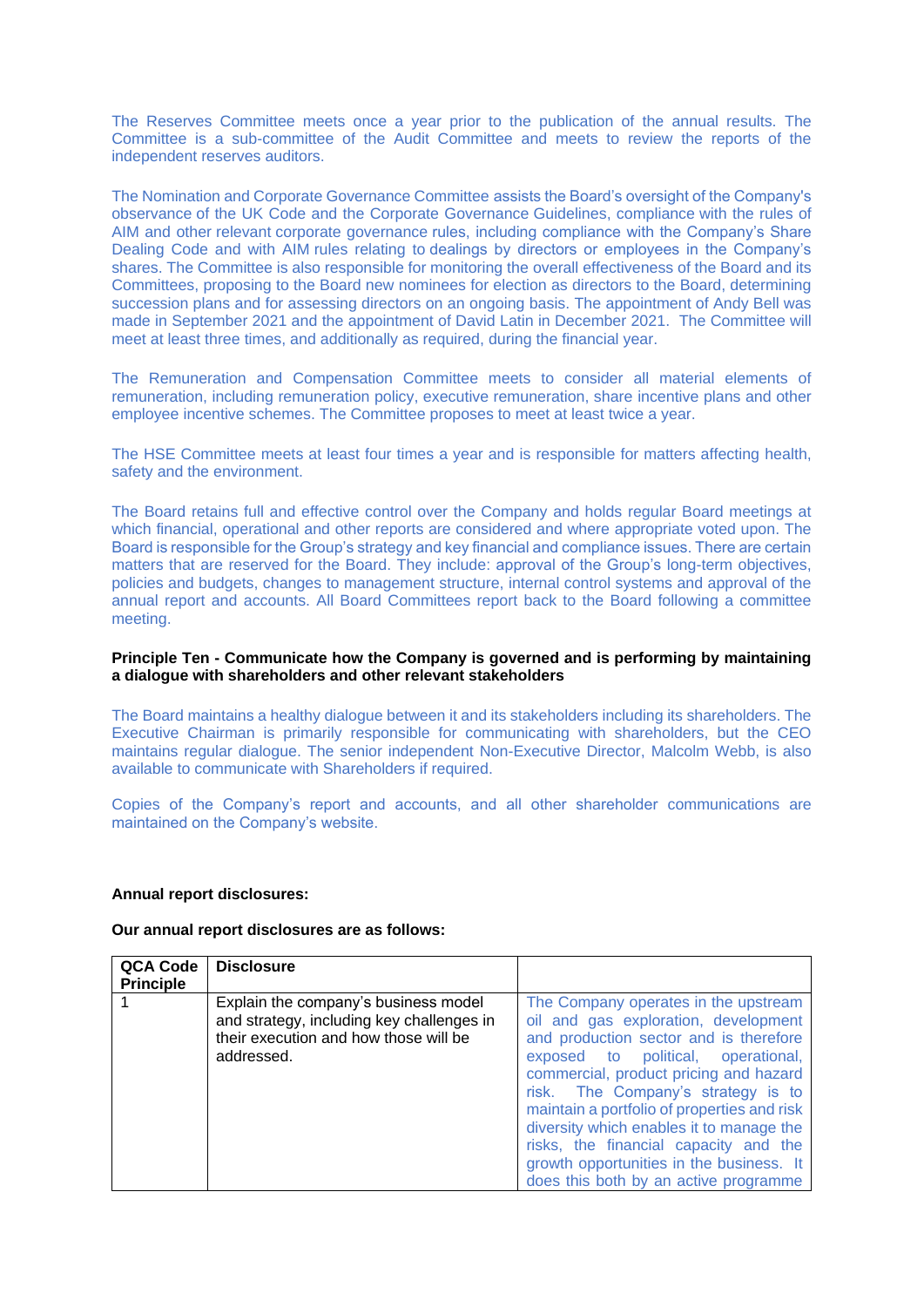The Reserves Committee meets once a year prior to the publication of the annual results. The Committee is a sub-committee of the Audit Committee and meets to review the reports of the independent reserves auditors.

The Nomination and Corporate Governance Committee assists the Board's oversight of the Company's observance of the UK Code and the Corporate Governance Guidelines, compliance with the rules of AIM and other relevant corporate governance rules, including compliance with the Company's Share Dealing Code and with AIM rules relating to dealings by directors or employees in the Company's shares. The Committee is also responsible for monitoring the overall effectiveness of the Board and its Committees, proposing to the Board new nominees for election as directors to the Board, determining succession plans and for assessing directors on an ongoing basis. The appointment of Andy Bell was made in September 2021 and the appointment of David Latin in December 2021. The Committee will meet at least three times, and additionally as required, during the financial year.

The Remuneration and Compensation Committee meets to consider all material elements of remuneration, including remuneration policy, executive remuneration, share incentive plans and other employee incentive schemes. The Committee proposes to meet at least twice a year.

The HSE Committee meets at least four times a year and is responsible for matters affecting health, safety and the environment.

The Board retains full and effective control over the Company and holds regular Board meetings at which financial, operational and other reports are considered and where appropriate voted upon. The Board is responsible for the Group's strategy and key financial and compliance issues. There are certain matters that are reserved for the Board. They include: approval of the Group's long-term objectives, policies and budgets, changes to management structure, internal control systems and approval of the annual report and accounts. All Board Committees report back to the Board following a committee meeting.

### **Principle Ten - Communicate how the Company is governed and is performing by maintaining a dialogue with shareholders and other relevant stakeholders**

The Board maintains a healthy dialogue between it and its stakeholders including its shareholders. The Executive Chairman is primarily responsible for communicating with shareholders, but the CEO maintains regular dialogue. The senior independent Non-Executive Director, Malcolm Webb, is also available to communicate with Shareholders if required.

Copies of the Company's report and accounts, and all other shareholder communications are maintained on the Company's website.

#### **Annual report disclosures:**

#### **Our annual report disclosures are as follows:**

| <b>QCA Code</b><br><b>Principle</b> | <b>Disclosure</b>                                                                                                                        |                                                                                                                                                                                                                                                                                                                                                                                                                                                                       |
|-------------------------------------|------------------------------------------------------------------------------------------------------------------------------------------|-----------------------------------------------------------------------------------------------------------------------------------------------------------------------------------------------------------------------------------------------------------------------------------------------------------------------------------------------------------------------------------------------------------------------------------------------------------------------|
|                                     | Explain the company's business model<br>and strategy, including key challenges in<br>their execution and how those will be<br>addressed. | The Company operates in the upstream<br>oil and gas exploration, development<br>and production sector and is therefore<br>exposed to political, operational,<br>commercial, product pricing and hazard<br>risk. The Company's strategy is to<br>maintain a portfolio of properties and risk<br>diversity which enables it to manage the<br>risks, the financial capacity and the<br>growth opportunities in the business. It<br>does this both by an active programme |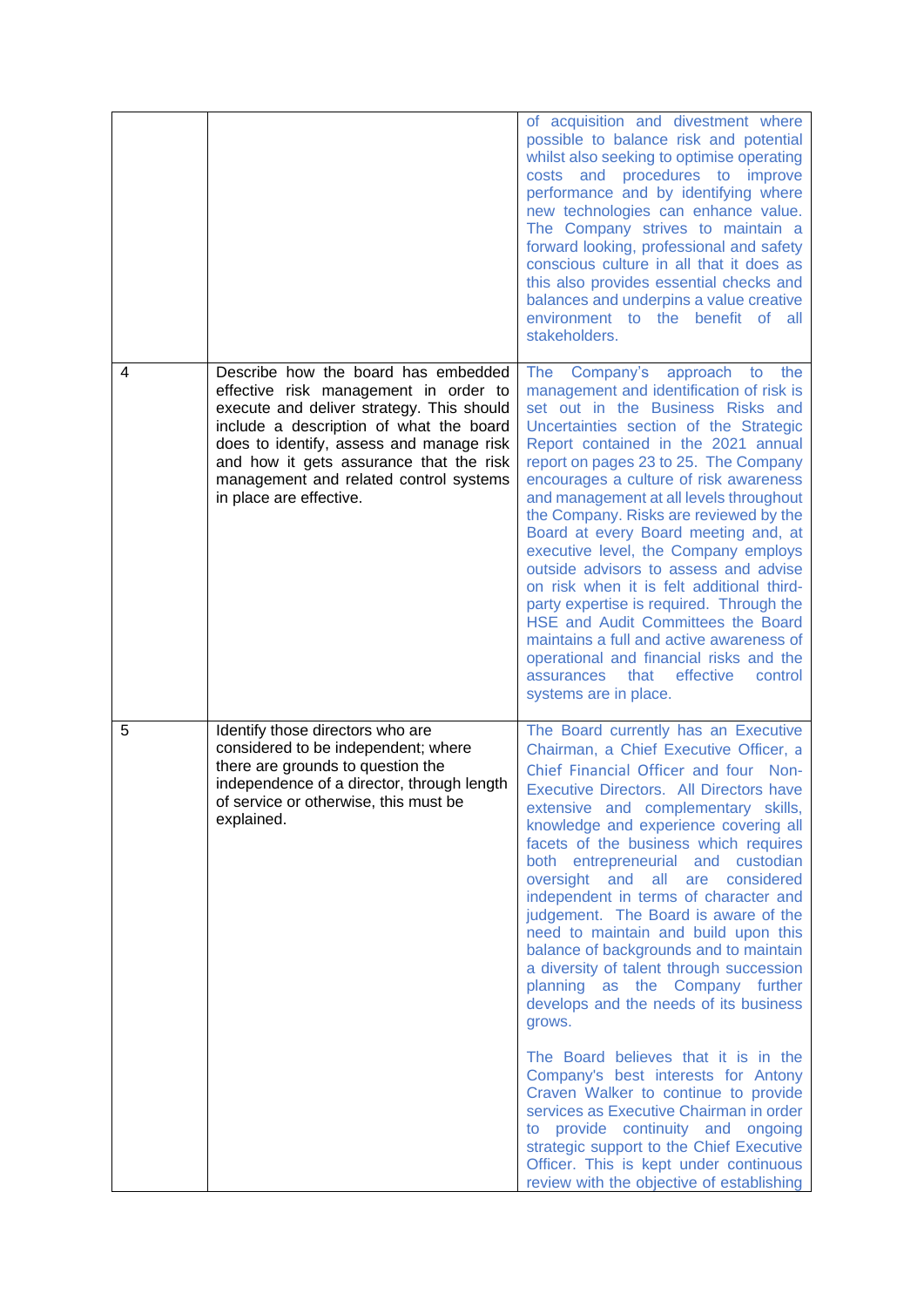|   |                                                                                                                                                                                                                                                                                                                                  | of acquisition and divestment where<br>possible to balance risk and potential<br>whilst also seeking to optimise operating<br>costs and procedures to improve<br>performance and by identifying where<br>new technologies can enhance value.<br>The Company strives to maintain a<br>forward looking, professional and safety<br>conscious culture in all that it does as<br>this also provides essential checks and<br>balances and underpins a value creative<br>environment to the benefit of all<br>stakeholders.                                                                                                                                                                                                                                                                                                                                                                                                                                                                                                 |
|---|----------------------------------------------------------------------------------------------------------------------------------------------------------------------------------------------------------------------------------------------------------------------------------------------------------------------------------|-----------------------------------------------------------------------------------------------------------------------------------------------------------------------------------------------------------------------------------------------------------------------------------------------------------------------------------------------------------------------------------------------------------------------------------------------------------------------------------------------------------------------------------------------------------------------------------------------------------------------------------------------------------------------------------------------------------------------------------------------------------------------------------------------------------------------------------------------------------------------------------------------------------------------------------------------------------------------------------------------------------------------|
| 4 | Describe how the board has embedded<br>effective risk management in order to<br>execute and deliver strategy. This should<br>include a description of what the board<br>does to identify, assess and manage risk<br>and how it gets assurance that the risk<br>management and related control systems<br>in place are effective. | Company's<br>approach to<br>The<br>the<br>management and identification of risk is<br>set out in the Business Risks and<br>Uncertainties section of the Strategic<br>Report contained in the 2021 annual<br>report on pages 23 to 25. The Company<br>encourages a culture of risk awareness<br>and management at all levels throughout<br>the Company. Risks are reviewed by the<br>Board at every Board meeting and, at<br>executive level, the Company employs<br>outside advisors to assess and advise<br>on risk when it is felt additional third-<br>party expertise is required. Through the<br>HSE and Audit Committees the Board<br>maintains a full and active awareness of<br>operational and financial risks and the<br>assurances<br>that<br>effective<br>control<br>systems are in place.                                                                                                                                                                                                                |
| 5 | Identify those directors who are<br>considered to be independent; where<br>there are grounds to question the<br>independence of a director, through length<br>of service or otherwise, this must be<br>explained.                                                                                                                | The Board currently has an Executive<br>Chairman, a Chief Executive Officer, a<br>Chief Financial Officer and four Non-<br>Executive Directors. All Directors have<br>extensive and complementary skills,<br>knowledge and experience covering all<br>facets of the business which requires<br>both entrepreneurial and custodian<br>oversight and all are considered<br>independent in terms of character and<br>judgement. The Board is aware of the<br>need to maintain and build upon this<br>balance of backgrounds and to maintain<br>a diversity of talent through succession<br>planning as the Company further<br>develops and the needs of its business<br>grows.<br>The Board believes that it is in the<br>Company's best interests for Antony<br>Craven Walker to continue to provide<br>services as Executive Chairman in order<br>to provide continuity and ongoing<br>strategic support to the Chief Executive<br>Officer. This is kept under continuous<br>review with the objective of establishing |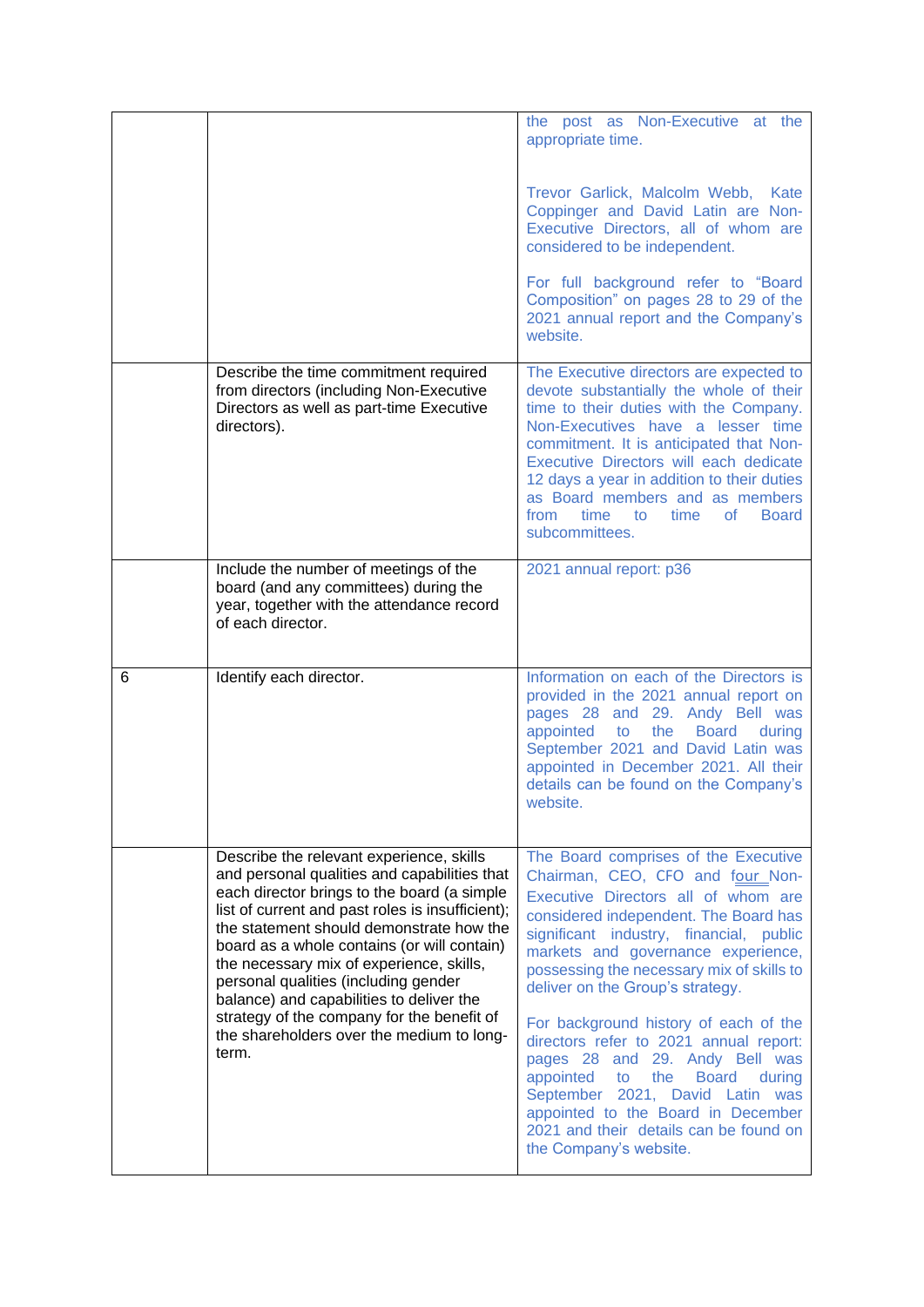|   |                                                                                                                                                                                                                                                                                        | the post as Non-Executive at the<br>appropriate time.                                                                                                                                                                                                                                                                                                                                                      |
|---|----------------------------------------------------------------------------------------------------------------------------------------------------------------------------------------------------------------------------------------------------------------------------------------|------------------------------------------------------------------------------------------------------------------------------------------------------------------------------------------------------------------------------------------------------------------------------------------------------------------------------------------------------------------------------------------------------------|
|   |                                                                                                                                                                                                                                                                                        | Trevor Garlick, Malcolm Webb,<br>Kate<br>Coppinger and David Latin are Non-<br>Executive Directors, all of whom are<br>considered to be independent.                                                                                                                                                                                                                                                       |
|   |                                                                                                                                                                                                                                                                                        | For full background refer to "Board<br>Composition" on pages 28 to 29 of the<br>2021 annual report and the Company's<br>website.                                                                                                                                                                                                                                                                           |
|   | Describe the time commitment required<br>from directors (including Non-Executive<br>Directors as well as part-time Executive<br>directors).                                                                                                                                            | The Executive directors are expected to<br>devote substantially the whole of their<br>time to their duties with the Company.<br>Non-Executives have a lesser time<br>commitment. It is anticipated that Non-<br>Executive Directors will each dedicate<br>12 days a year in addition to their duties<br>as Board members and as members<br>time to<br>time<br><b>Board</b><br>from<br>0f<br>subcommittees. |
|   | Include the number of meetings of the<br>board (and any committees) during the<br>year, together with the attendance record<br>of each director.                                                                                                                                       | 2021 annual report: p36                                                                                                                                                                                                                                                                                                                                                                                    |
| 6 | Identify each director.                                                                                                                                                                                                                                                                | Information on each of the Directors is<br>provided in the 2021 annual report on<br>pages 28 and 29. Andy Bell was<br>the<br>appointed to<br><b>Board</b><br>during<br>September 2021 and David Latin was<br>appointed in December 2021. All their<br>details can be found on the Company's<br>website.                                                                                                    |
|   | Describe the relevant experience, skills<br>and personal qualities and capabilities that<br>each director brings to the board (a simple<br>list of current and past roles is insufficient);<br>the statement should demonstrate how the<br>board as a whole contains (or will contain) | The Board comprises of the Executive<br>Chairman, CEO, CFO and four Non-<br>Executive Directors all of whom are<br>considered independent. The Board has<br>significant industry, financial, public<br>markets and governance experience,                                                                                                                                                                  |
|   | the necessary mix of experience, skills,<br>personal qualities (including gender<br>balance) and capabilities to deliver the<br>strategy of the company for the benefit of<br>the shareholders over the medium to long-<br>term.                                                       | possessing the necessary mix of skills to<br>deliver on the Group's strategy.<br>For background history of each of the<br>directors refer to 2021 annual report:                                                                                                                                                                                                                                           |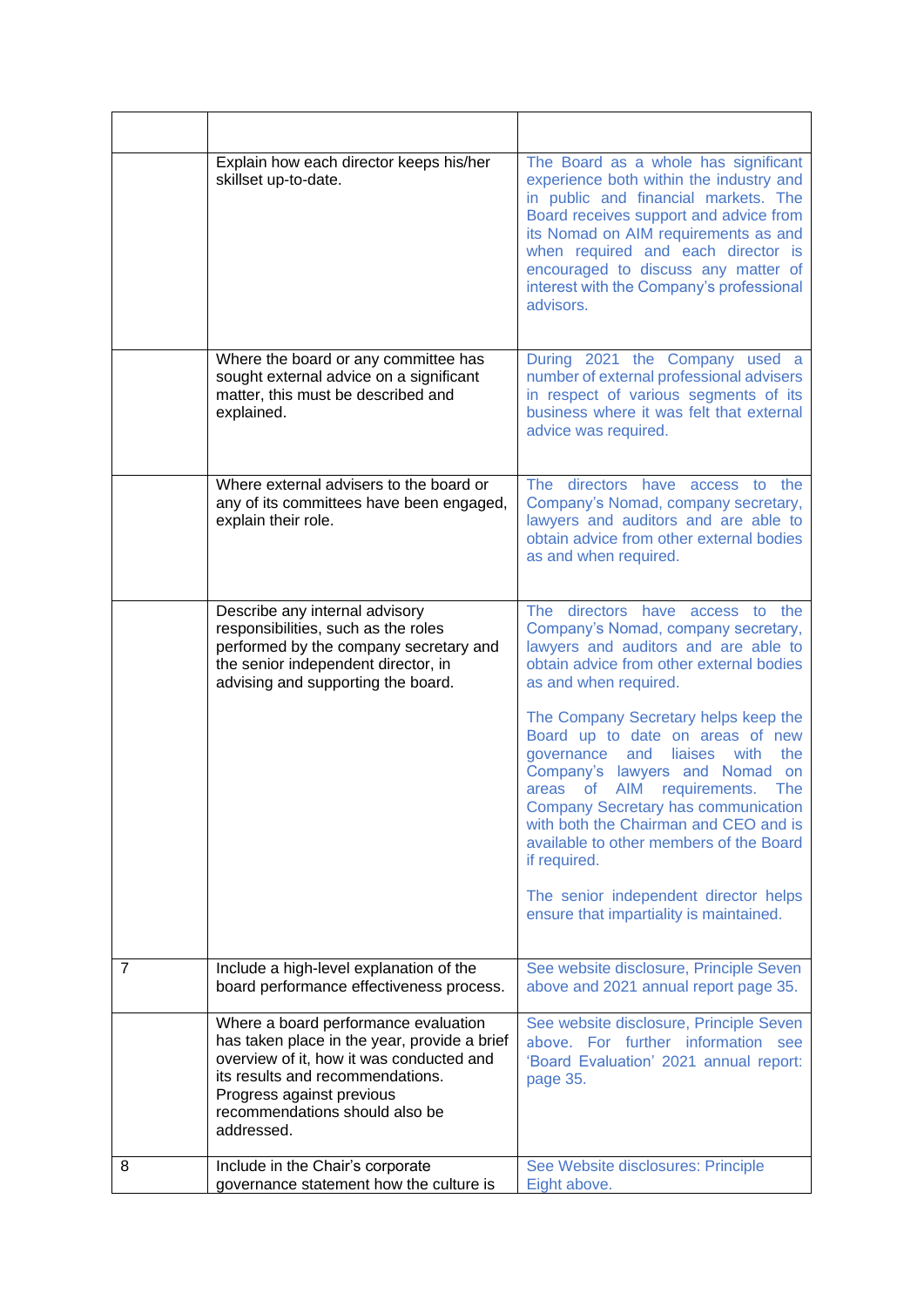|   | Explain how each director keeps his/her<br>skillset up-to-date.                                                                                                                                                                                   | The Board as a whole has significant<br>experience both within the industry and<br>in public and financial markets. The<br>Board receives support and advice from<br>its Nomad on AIM requirements as and<br>when required and each director is<br>encouraged to discuss any matter of<br>interest with the Company's professional<br>advisors.            |
|---|---------------------------------------------------------------------------------------------------------------------------------------------------------------------------------------------------------------------------------------------------|------------------------------------------------------------------------------------------------------------------------------------------------------------------------------------------------------------------------------------------------------------------------------------------------------------------------------------------------------------|
|   | Where the board or any committee has<br>sought external advice on a significant<br>matter, this must be described and<br>explained.                                                                                                               | During 2021 the Company used a<br>number of external professional advisers<br>in respect of various segments of its<br>business where it was felt that external<br>advice was required.                                                                                                                                                                    |
|   | Where external advisers to the board or<br>any of its committees have been engaged,<br>explain their role.                                                                                                                                        | The<br>directors<br>have<br>the<br>access<br>to<br>Company's Nomad, company secretary,<br>lawyers and auditors and are able to<br>obtain advice from other external bodies<br>as and when required.                                                                                                                                                        |
|   | Describe any internal advisory<br>responsibilities, such as the roles<br>performed by the company secretary and<br>the senior independent director, in<br>advising and supporting the board.                                                      | The directors<br>have access<br>to the<br>Company's Nomad, company secretary,<br>lawyers and auditors and are able to<br>obtain advice from other external bodies<br>as and when required.                                                                                                                                                                 |
|   |                                                                                                                                                                                                                                                   | The Company Secretary helps keep the<br>Board up to date on areas of new<br>governance<br>and<br>liaises<br>the<br>with<br>Company's lawyers and Nomad<br>on<br>areas of AIM requirements.<br><b>The</b><br><b>Company Secretary has communication</b><br>with both the Chairman and CEO and is<br>available to other members of the Board<br>if required. |
|   |                                                                                                                                                                                                                                                   | The senior independent director helps<br>ensure that impartiality is maintained.                                                                                                                                                                                                                                                                           |
| 7 | Include a high-level explanation of the<br>board performance effectiveness process.                                                                                                                                                               | See website disclosure, Principle Seven<br>above and 2021 annual report page 35.                                                                                                                                                                                                                                                                           |
|   | Where a board performance evaluation<br>has taken place in the year, provide a brief<br>overview of it, how it was conducted and<br>its results and recommendations.<br>Progress against previous<br>recommendations should also be<br>addressed. | See website disclosure, Principle Seven<br>above. For further information see<br>'Board Evaluation' 2021 annual report:<br>page 35.                                                                                                                                                                                                                        |
| 8 | Include in the Chair's corporate<br>governance statement how the culture is                                                                                                                                                                       | See Website disclosures: Principle<br>Eight above.                                                                                                                                                                                                                                                                                                         |